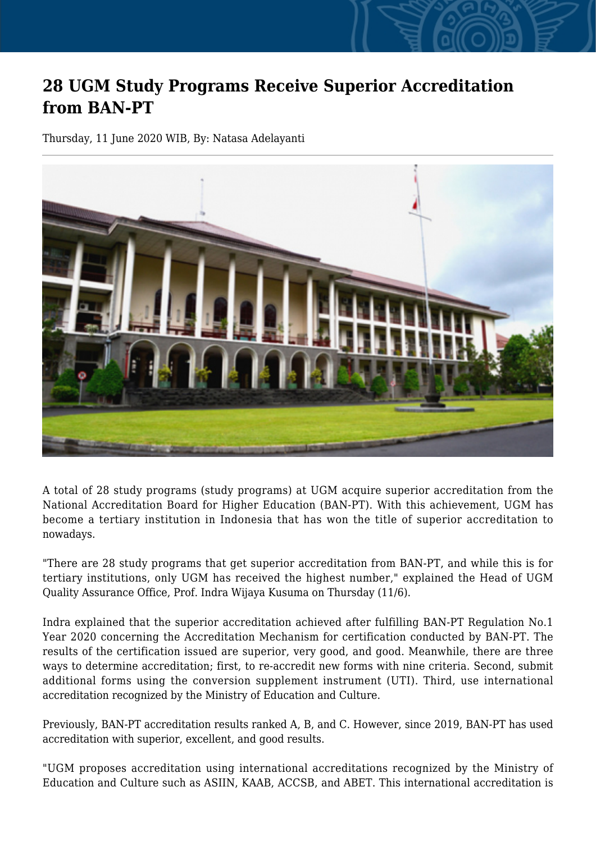## **28 UGM Study Programs Receive Superior Accreditation from BAN-PT**

Thursday, 11 June 2020 WIB, By: Natasa Adelayanti



A total of 28 study programs (study programs) at UGM acquire superior accreditation from the National Accreditation Board for Higher Education (BAN-PT). With this achievement, UGM has become a tertiary institution in Indonesia that has won the title of superior accreditation to nowadays.

"There are 28 study programs that get superior accreditation from BAN-PT, and while this is for tertiary institutions, only UGM has received the highest number," explained the Head of UGM Quality Assurance Office, Prof. Indra Wijaya Kusuma on Thursday (11/6).

Indra explained that the superior accreditation achieved after fulfilling BAN-PT Regulation No.1 Year 2020 concerning the Accreditation Mechanism for certification conducted by BAN-PT. The results of the certification issued are superior, very good, and good. Meanwhile, there are three ways to determine accreditation; first, to re-accredit new forms with nine criteria. Second, submit additional forms using the conversion supplement instrument (UTI). Third, use international accreditation recognized by the Ministry of Education and Culture.

Previously, BAN-PT accreditation results ranked A, B, and C. However, since 2019, BAN-PT has used accreditation with superior, excellent, and good results.

"UGM proposes accreditation using international accreditations recognized by the Ministry of Education and Culture such as ASIIN, KAAB, ACCSB, and ABET. This international accreditation is